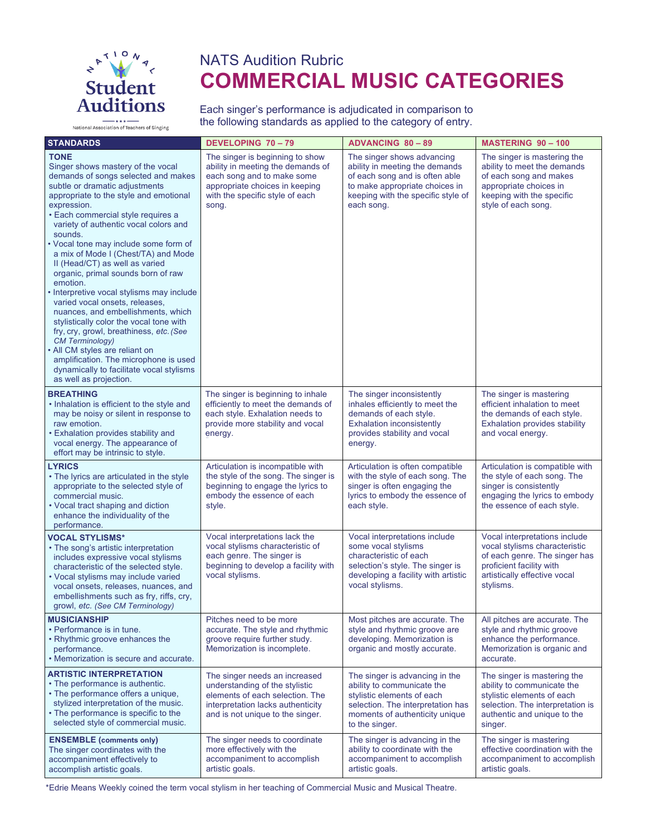

National Association of Teachers of Singing

# NATS Audition Rubric **COMMERCIAL MUSIC CATEGORIES**

Each singer's performance is adjudicated in comparison to the following standards as applied to the category of entry.

| <b>STANDARDS</b>                                                                                                                                                                                                                                                                                                                                                                                                                                                                                                                                                                                                                                                                                                                                                                                                                     | <b>DEVELOPING 70-79</b>                                                                                                                                                          | <b>ADVANCING 80-89</b>                                                                                                                                                               | <b>MASTERING 90-100</b>                                                                                                                                                  |
|--------------------------------------------------------------------------------------------------------------------------------------------------------------------------------------------------------------------------------------------------------------------------------------------------------------------------------------------------------------------------------------------------------------------------------------------------------------------------------------------------------------------------------------------------------------------------------------------------------------------------------------------------------------------------------------------------------------------------------------------------------------------------------------------------------------------------------------|----------------------------------------------------------------------------------------------------------------------------------------------------------------------------------|--------------------------------------------------------------------------------------------------------------------------------------------------------------------------------------|--------------------------------------------------------------------------------------------------------------------------------------------------------------------------|
| <b>TONE</b><br>Singer shows mastery of the vocal<br>demands of songs selected and makes<br>subtle or dramatic adjustments<br>appropriate to the style and emotional<br>expression.<br>· Each commercial style requires a<br>variety of authentic vocal colors and<br>sounds.<br>• Vocal tone may include some form of<br>a mix of Mode I (Chest/TA) and Mode<br>II (Head/CT) as well as varied<br>organic, primal sounds born of raw<br>emotion.<br>Interpretive vocal stylisms may include<br>varied vocal onsets, releases,<br>nuances, and embellishments, which<br>stylistically color the vocal tone with<br>fry, cry, growl, breathiness, etc. (See<br><b>CM Terminology)</b><br>• All CM styles are reliant on<br>amplification. The microphone is used<br>dynamically to facilitate vocal stylisms<br>as well as projection. | The singer is beginning to show<br>ability in meeting the demands of<br>each song and to make some<br>appropriate choices in keeping<br>with the specific style of each<br>song. | The singer shows advancing<br>ability in meeting the demands<br>of each song and is often able<br>to make appropriate choices in<br>keeping with the specific style of<br>each song. | The singer is mastering the<br>ability to meet the demands<br>of each song and makes<br>appropriate choices in<br>keeping with the specific<br>style of each song.       |
| <b>BREATHING</b><br>• Inhalation is efficient to the style and<br>may be noisy or silent in response to<br>raw emotion.<br>• Exhalation provides stability and<br>vocal energy. The appearance of<br>effort may be intrinsic to style.                                                                                                                                                                                                                                                                                                                                                                                                                                                                                                                                                                                               | The singer is beginning to inhale<br>efficiently to meet the demands of<br>each style. Exhalation needs to<br>provide more stability and vocal<br>energy.                        | The singer inconsistently<br>inhales efficiently to meet the<br>demands of each style.<br><b>Exhalation inconsistently</b><br>provides stability and vocal<br>energy.                | The singer is mastering<br>efficient inhalation to meet<br>the demands of each style.<br><b>Exhalation provides stability</b><br>and vocal energy.                       |
| <b>LYRICS</b><br>• The lyrics are articulated in the style<br>appropriate to the selected style of<br>commercial music.<br>• Vocal tract shaping and diction<br>enhance the individuality of the<br>performance.                                                                                                                                                                                                                                                                                                                                                                                                                                                                                                                                                                                                                     | Articulation is incompatible with<br>the style of the song. The singer is<br>beginning to engage the lyrics to<br>embody the essence of each<br>style.                           | Articulation is often compatible<br>with the style of each song. The<br>singer is often engaging the<br>lyrics to embody the essence of<br>each style.                               | Articulation is compatible with<br>the style of each song. The<br>singer is consistently<br>engaging the lyrics to embody<br>the essence of each style.                  |
| <b>VOCAL STYLISMS*</b><br>• The song's artistic interpretation<br>includes expressive vocal stylisms<br>characteristic of the selected style.<br>• Vocal stylisms may include varied<br>vocal onsets, releases, nuances, and<br>embellishments such as fry, riffs, cry,<br>growl, etc. (See CM Terminology)                                                                                                                                                                                                                                                                                                                                                                                                                                                                                                                          | Vocal interpretations lack the<br>vocal stylisms characteristic of<br>each genre. The singer is<br>beginning to develop a facility with<br>vocal stylisms.                       | Vocal interpretations include<br>some vocal stylisms<br>characteristic of each<br>selection's style. The singer is<br>developing a facility with artistic<br>vocal stylisms.         | Vocal interpretations include<br>vocal stylisms characteristic<br>of each genre. The singer has<br>proficient facility with<br>artistically effective vocal<br>stylisms. |
| <b>MUSICIANSHIP</b><br>• Performance is in tune.<br>• Rhythmic groove enhances the<br>performance.<br>• Memorization is secure and accurate.                                                                                                                                                                                                                                                                                                                                                                                                                                                                                                                                                                                                                                                                                         | Pitches need to be more<br>accurate. The style and rhythmic<br>groove require further study.<br>Memorization is incomplete.                                                      | Most pitches are accurate. The<br>style and rhythmic groove are<br>developing. Memorization is<br>organic and mostly accurate.                                                       | All pitches are accurate. The<br>style and rhythmic groove<br>enhance the performance.<br>Memorization is organic and<br>accurate.                                       |
| <b>ARTISTIC INTERPRETATION</b><br>• The performance is authentic.<br>• The performance offers a unique,<br>stylized interpretation of the music.<br>• The performance is specific to the<br>selected style of commercial music.                                                                                                                                                                                                                                                                                                                                                                                                                                                                                                                                                                                                      | The singer needs an increased<br>understanding of the stylistic<br>elements of each selection. The<br>interpretation lacks authenticity<br>and is not unique to the singer.      | The singer is advancing in the<br>ability to communicate the<br>stylistic elements of each<br>selection. The interpretation has<br>moments of authenticity unique<br>to the singer.  | The singer is mastering the<br>ability to communicate the<br>stylistic elements of each<br>selection. The interpretation is<br>authentic and unique to the<br>singer.    |
| <b>ENSEMBLE</b> (comments only)<br>The singer coordinates with the<br>accompaniment effectively to<br>accomplish artistic goals.                                                                                                                                                                                                                                                                                                                                                                                                                                                                                                                                                                                                                                                                                                     | The singer needs to coordinate<br>more effectively with the<br>accompaniment to accomplish<br>artistic goals.                                                                    | The singer is advancing in the<br>ability to coordinate with the<br>accompaniment to accomplish<br>artistic goals.                                                                   | The singer is mastering<br>effective coordination with the<br>accompaniment to accomplish<br>artistic goals.                                                             |

\*Edrie Means Weekly coined the term vocal stylism in her teaching of Commercial Music and Musical Theatre.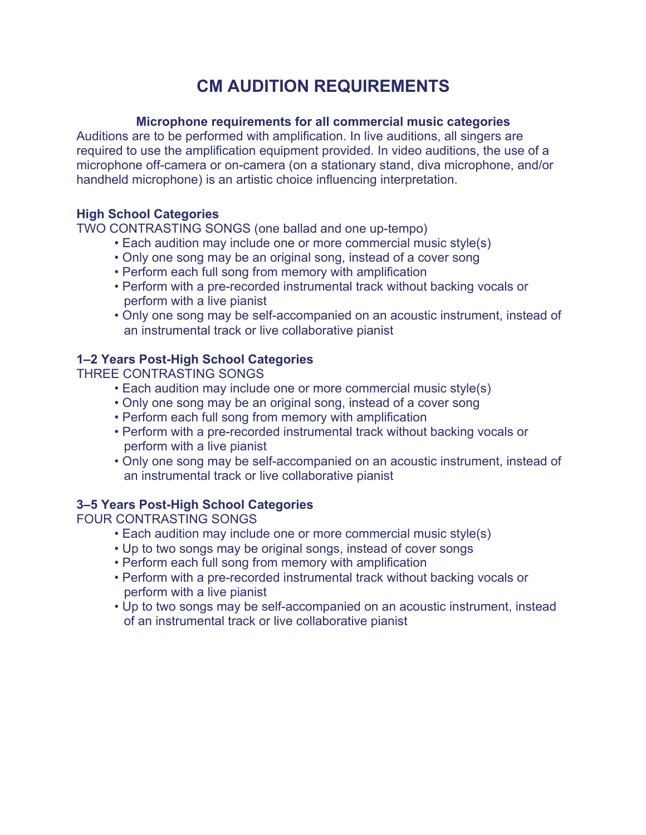## **CM AUDITION REQUIREMENTS**

#### **Microphone requirements for all commercial music categories**

Auditions are to be performed with amplification. In live auditions, all singers are required to use the amplification equipment provided. In video auditions, the use of a microphone off-camera or on-camera (on a stationary stand, diva microphone, and/or handheld microphone) is an artistic choice influencing interpretation.

#### **High School Categories**

TWO CONTRASTING SONGS (one ballad and one up-tempo)

- Each audition may include one or more commercial music style(s)
- Only one song may be an original song, instead of a cover song
- Perform each full song from memory with amplification
- Perform with a pre-recorded instrumental track without backing vocals or perform with a live pianist
- Only one song may be self-accompanied on an acoustic instrument, instead of an instrumental track or live collaborative pianist

### **1–2 Years Post-High School Categories**

THREE CONTRASTING SONGS

- Each audition may include one or more commercial music style(s)
- Only one song may be an original song, instead of a cover song
- Perform each full song from memory with amplification
- Perform with a pre-recorded instrumental track without backing vocals or perform with a live pianist
- Only one song may be self-accompanied on an acoustic instrument, instead of an instrumental track or live collaborative pianist

### **3–5 Years Post-High School Categories**

FOUR CONTRASTING SONGS

- Each audition may include one or more commercial music style(s)
- Up to two songs may be original songs, instead of cover songs
- Perform each full song from memory with amplification
- Perform with a pre-recorded instrumental track without backing vocals or perform with a live pianist
- Up to two songs may be self-accompanied on an acoustic instrument, instead of an instrumental track or live collaborative pianist